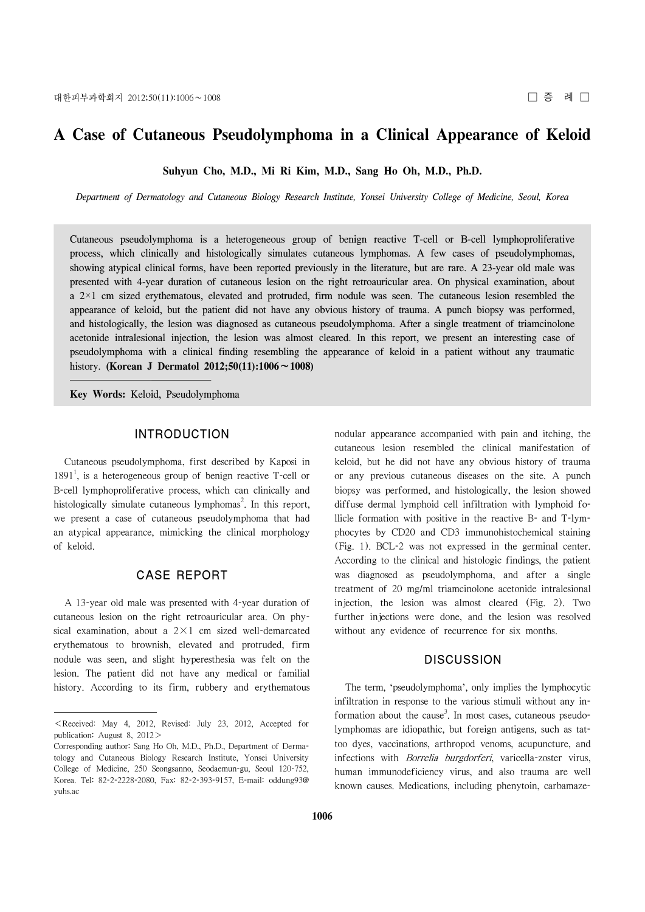# **A Case of Cutaneous Pseudolymphoma in a Clinical Appearance of Keloid**

**Suhyun Cho, M.D., Mi Ri Kim, M.D., Sang Ho Oh, M.D., Ph.D.**

*Department of Dermatology and Cutaneous Biology Research Institute, Yonsei University College of Medicine, Seoul, Korea*

Cutaneous pseudolymphoma is a heterogeneous group of benign reactive T-cell or B-cell lymphoproliferative process, which clinically and histologically simulates cutaneous lymphomas. A few cases of pseudolymphomas, showing atypical clinical forms, have been reported previously in the literature, but are rare. A 23-year old male was presented with 4-year duration of cutaneous lesion on the right retroauricular area. On physical examination, about a 2×1 cm sized erythematous, elevated and protruded, firm nodule was seen. The cutaneous lesion resembled the appearance of keloid, but the patient did not have any obvious history of trauma. A punch biopsy was performed, and histologically, the lesion was diagnosed as cutaneous pseudolymphoma. After a single treatment of triamcinolone acetonide intralesional injection, the lesion was almost cleared. In this report, we present an interesting case of pseudolymphoma with a clinical finding resembling the appearance of keloid in a patient without any traumatic history. **(Korean J Dermatol 2012;50(11):1006**∼**1008)**

**Key Words:** Keloid, Pseudolymphoma

#### INTRODUCTION

Cutaneous pseudolymphoma, first described by Kaposi in  $1891<sup>1</sup>$ , is a heterogeneous group of benign reactive T-cell or B-cell lymphoproliferative process, which can clinically and histologically simulate cutaneous lymphomas<sup>2</sup>. In this report, we present a case of cutaneous pseudolymphoma that had an atypical appearance, mimicking the clinical morphology of keloid.

#### CASE REPORT

A 13-year old male was presented with 4-year duration of cutaneous lesion on the right retroauricular area. On physical examination, about a  $2 \times 1$  cm sized well-demarcated erythematous to brownish, elevated and protruded, firm nodule was seen, and slight hyperesthesia was felt on the lesion. The patient did not have any medical or familial history. According to its firm, rubbery and erythematous nodular appearance accompanied with pain and itching, the cutaneous lesion resembled the clinical manifestation of keloid, but he did not have any obvious history of trauma or any previous cutaneous diseases on the site. A punch biopsy was performed, and histologically, the lesion showed diffuse dermal lymphoid cell infiltration with lymphoid follicle formation with positive in the reactive B- and T-lymphocytes by CD20 and CD3 immunohistochemical staining (Fig. 1). BCL-2 was not expressed in the germinal center. According to the clinical and histologic findings, the patient was diagnosed as pseudolymphoma, and after a single treatment of 20 mg/ml triamcinolone acetonide intralesional injection, the lesion was almost cleared (Fig. 2). Two further injections were done, and the lesion was resolved without any evidence of recurrence for six months.

### **DISCUSSION**

The term, 'pseudolymphoma', only implies the lymphocytic infiltration in response to the various stimuli without any information about the cause<sup>3</sup>. In most cases, cutaneous pseudolymphomas are idiopathic, but foreign antigens, such as tattoo dyes, vaccinations, arthropod venoms, acupuncture, and infections with *Borrelia burgdorferi*, varicella-zoster virus, human immunodeficiency virus, and also trauma are well known causes. Medications, including phenytoin, carbamaze-

 $\leq$  Received: May 4, 2012, Revised: July 23, 2012, Accepted for publication: August 8, 2012>

Corresponding author: Sang Ho Oh, M.D., Ph.D., Department of Dermatology and Cutaneous Biology Research Institute, Yonsei University College of Medicine, 250 Seongsanno, Seodaemun-gu, Seoul 120-752, Korea. Tel: 82-2-2228-2080, Fax: 82-2-393-9157, E-mail: oddung93@ yuhs.ac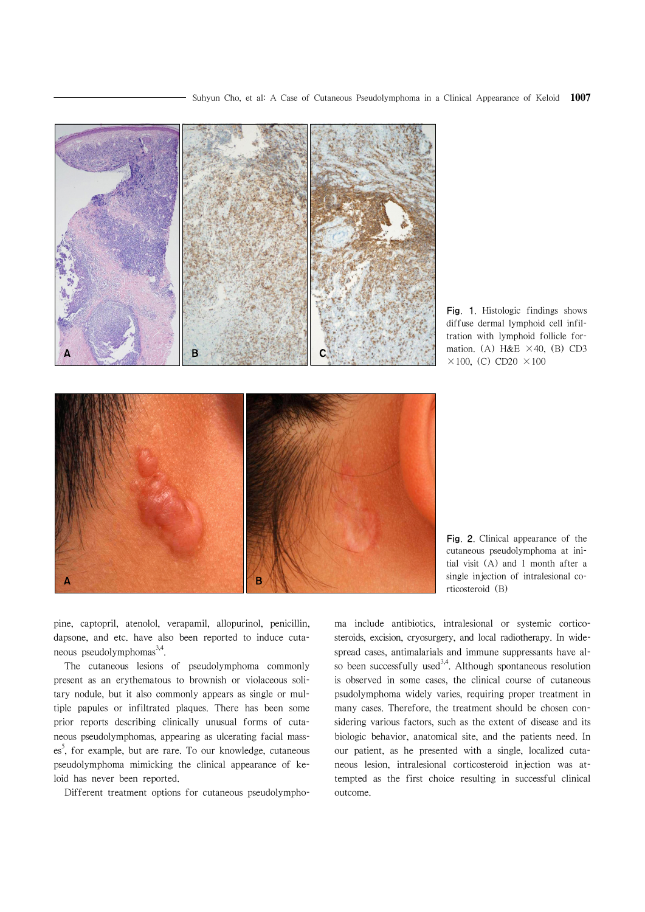

Fig. 1. Histologic findings shows diffuse dermal lymphoid cell infiltration with lymphoid follicle formation. (A) H&E  $\times$  40, (B) CD3  $\times$ 100, (C) CD20  $\times$ 100

Fig. 2. Clinical appearance of the cutaneous pseudolymphoma at initial visit (A) and 1 month after a single injection of intralesional corticosteroid (B)

pine, captopril, atenolol, verapamil, allopurinol, penicillin, dapsone, and etc. have also been reported to induce cutaneous pseudolymphomas<sup>3,4</sup>.

The cutaneous lesions of pseudolymphoma commonly present as an erythematous to brownish or violaceous solitary nodule, but it also commonly appears as single or multiple papules or infiltrated plaques. There has been some prior reports describing clinically unusual forms of cutaneous pseudolymphomas, appearing as ulcerating facial masses<sup>5</sup>, for example, but are rare. To our knowledge, cutaneous pseudolymphoma mimicking the clinical appearance of keloid has never been reported.

Different treatment options for cutaneous pseudolympho-

ma include antibiotics, intralesional or systemic corticosteroids, excision, cryosurgery, and local radiotherapy. In widespread cases, antimalarials and immune suppressants have also been successfully used<sup>3,4</sup>. Although spontaneous resolution is observed in some cases, the clinical course of cutaneous psudolymphoma widely varies, requiring proper treatment in many cases. Therefore, the treatment should be chosen considering various factors, such as the extent of disease and its biologic behavior, anatomical site, and the patients need. In our patient, as he presented with a single, localized cutaneous lesion, intralesional corticosteroid injection was attempted as the first choice resulting in successful clinical outcome.